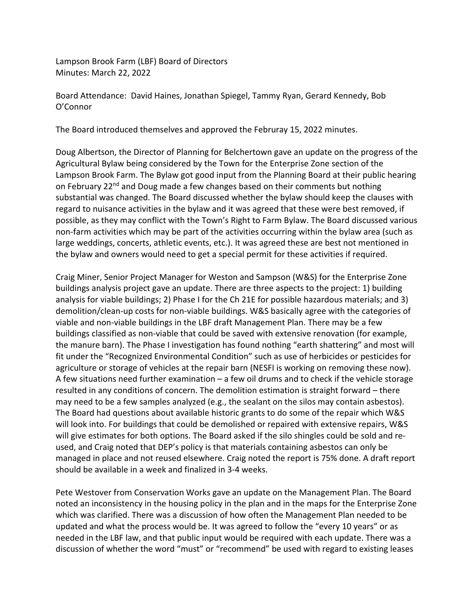Lampson Brook Farm (LBF) Board of Directors Minutes: March 22, 2022

Board Attendance: David Haines, Jonathan Spiegel, Tammy Ryan, Gerard Kennedy, Bob O'Connor

The Board introduced themselves and approved the Februray 15, 2022 minutes.

Doug Albertson, the Director of Planning for Belchertown gave an update on the progress of the Agricultural Bylaw being considered by the Town for the Enterprise Zone section of the Lampson Brook Farm. The Bylaw got good input from the Planning Board at their public hearing on February 22<sup>nd</sup> and Doug made a few changes based on their comments but nothing substantial was changed. The Board discussed whether the bylaw should keep the clauses with regard to nuisance activities in the bylaw and it was agreed that these were best removed, if possible, as they may conflict with the Town's Right to Farm Bylaw. The Board discussed various non-farm activities which may be part of the activities occurring within the bylaw area (such as large weddings, concerts, athletic events, etc.). It was agreed these are best not mentioned in the bylaw and owners would need to get a special permit for these activities if required.

Craig Miner, Senior Project Manager for Weston and Sampson (W&S) for the Enterprise Zone buildings analysis project gave an update. There are three aspects to the project: 1) building analysis for viable buildings; 2) Phase I for the Ch 21E for possible hazardous materials; and 3) demolition/clean-up costs for non-viable buildings. W&S basically agree with the categories of viable and non-viable buildings in the LBF draft Management Plan. There may be a few buildings classified as non-viable that could be saved with extensive renovation (for example, the manure barn). The Phase I investigation has found nothing "earth shattering" and most will fit under the "Recognized Environmental Condition" such as use of herbicides or pesticides for agriculture or storage of vehicles at the repair barn (NESFI is working on removing these now). A few situations need further examination – a few oil drums and to check if the vehicle storage resulted in any conditions of concern. The demolition estimation is straight forward – there may need to be a few samples analyzed (e.g., the sealant on the silos may contain asbestos). The Board had questions about available historic grants to do some of the repair which W&S will look into. For buildings that could be demolished or repaired with extensive repairs, W&S will give estimates for both options. The Board asked if the silo shingles could be sold and reused, and Craig noted that DEP's policy is that materials containing asbestos can only be managed in place and not reused elsewhere. Craig noted the report is 75% done. A draft report should be available in a week and finalized in 3-4 weeks.

Pete Westover from Conservation Works gave an update on the Management Plan. The Board noted an inconsistency in the housing policy in the plan and in the maps for the Enterprise Zone which was clarified. There was a discussion of how often the Management Plan needed to be updated and what the process would be. It was agreed to follow the "every 10 years" or as needed in the LBF law, and that public input would be required with each update. There was a discussion of whether the word "must" or "recommend" be used with regard to existing leases